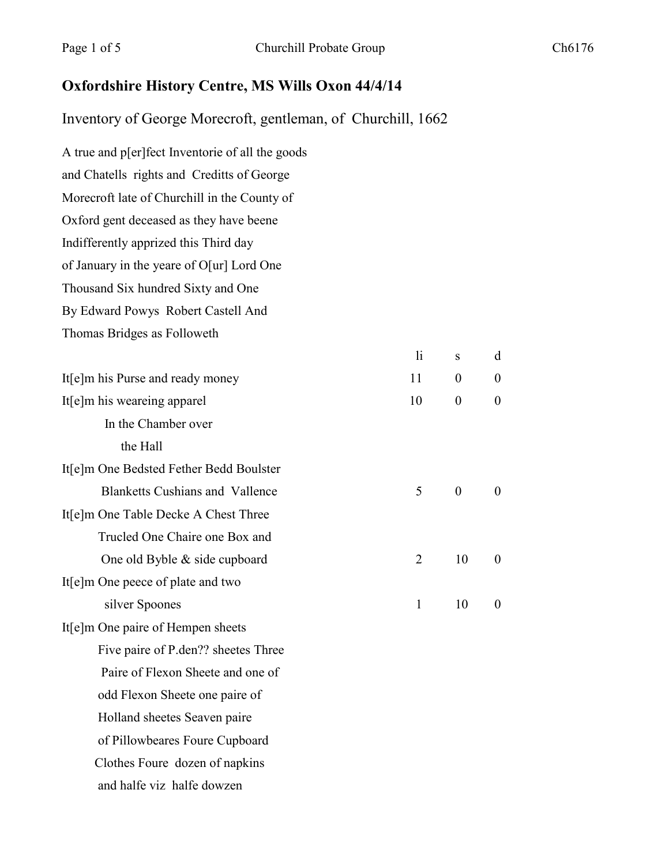## **Oxfordshire History Centre, MS Wills Oxon 44/4/14**

Inventory of George Morecroft, gentleman, of Churchill, 1662

| 1i | ${\bf S}$        | d                |
|----|------------------|------------------|
| 11 | $\boldsymbol{0}$ | $\boldsymbol{0}$ |
| 10 | $\boldsymbol{0}$ | $\boldsymbol{0}$ |
|    |                  |                  |
|    |                  |                  |
|    |                  |                  |
| 5  | $\boldsymbol{0}$ | $\boldsymbol{0}$ |
|    |                  |                  |
|    |                  |                  |
| 2  | 10               | $\boldsymbol{0}$ |
|    |                  |                  |
| 1  | 10               | $\boldsymbol{0}$ |
|    |                  |                  |
|    |                  |                  |
|    |                  |                  |
|    |                  |                  |
|    |                  |                  |
|    |                  |                  |
|    |                  |                  |
|    |                  |                  |
|    |                  |                  |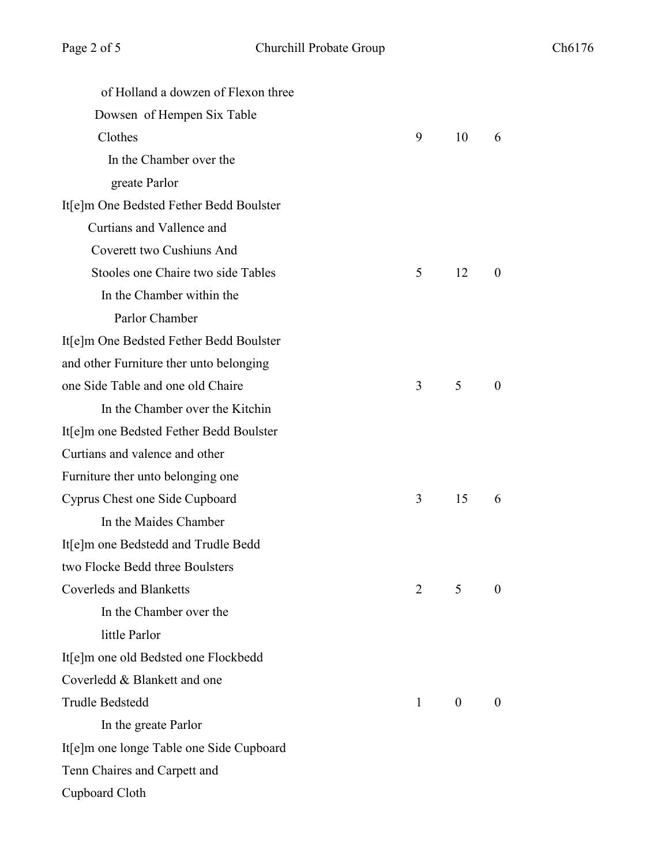| 6              |
|----------------|
|                |
|                |
|                |
|                |
|                |
|                |
|                |
| $\overline{0}$ |
|                |
|                |
|                |
|                |
| $\theta$       |
|                |
|                |
|                |
|                |
| 6              |
|                |
|                |
|                |
| $\overline{0}$ |
|                |
|                |
|                |
|                |
| $\Omega$       |
|                |
|                |
|                |
|                |
|                |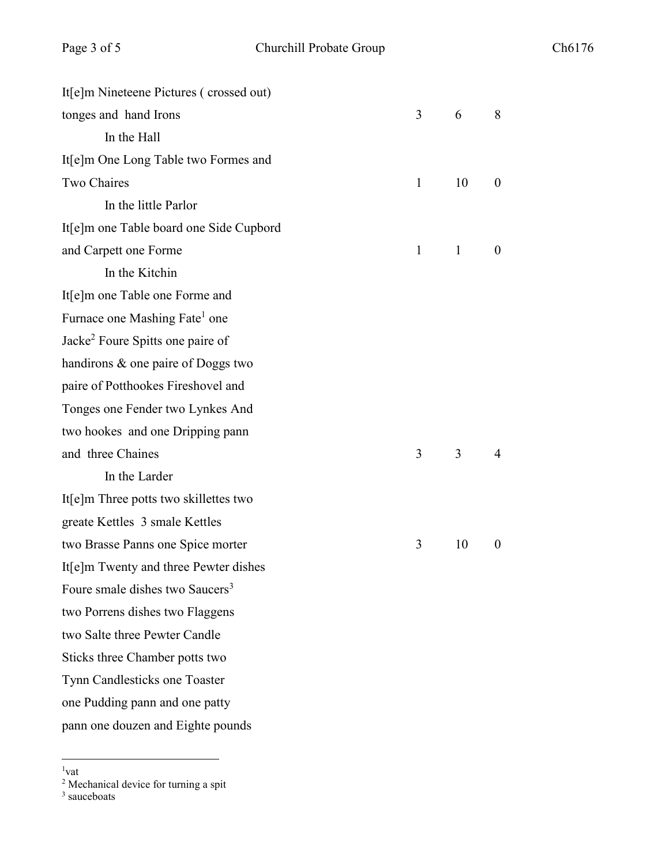| It[e]m Nineteene Pictures (crossed out)      |              |              |          |
|----------------------------------------------|--------------|--------------|----------|
| tonges and hand Irons                        | 3            | 6            | 8        |
| In the Hall                                  |              |              |          |
| It[e]m One Long Table two Formes and         |              |              |          |
| Two Chaires                                  | $\mathbf{1}$ | 10           | $\theta$ |
| In the little Parlor                         |              |              |          |
| It[e]m one Table board one Side Cupbord      |              |              |          |
| and Carpett one Forme                        | $\mathbf{1}$ | $\mathbf{1}$ | $\theta$ |
| In the Kitchin                               |              |              |          |
| It[e]m one Table one Forme and               |              |              |          |
| Furnace one Mashing Fate <sup>1</sup> one    |              |              |          |
| Jacke <sup>2</sup> Foure Spitts one paire of |              |              |          |
| handirons & one paire of Doggs two           |              |              |          |
| paire of Potthookes Fireshovel and           |              |              |          |
| Tonges one Fender two Lynkes And             |              |              |          |
| two hookes and one Dripping pann             |              |              |          |
| and three Chaines                            | 3            | 3            | 4        |
| In the Larder                                |              |              |          |
| It[e]m Three potts two skillettes two        |              |              |          |
| greate Kettles 3 smale Kettles               |              |              |          |
| two Brasse Panns one Spice morter            | 3            | 10           | $\theta$ |
| It[e]m Twenty and three Pewter dishes        |              |              |          |
| Foure smale dishes two Saucers <sup>3</sup>  |              |              |          |
| two Porrens dishes two Flaggens              |              |              |          |
| two Salte three Pewter Candle                |              |              |          |
| Sticks three Chamber potts two               |              |              |          |
| Tynn Candlesticks one Toaster                |              |              |          |
| one Pudding pann and one patty               |              |              |          |
| pann one douzen and Eighte pounds            |              |              |          |

 $\frac{1}{1}$  $1$ vat

<sup>&</sup>lt;sup>2</sup> Mechanical device for turning a spit

<sup>&</sup>lt;sup>3</sup> sauceboats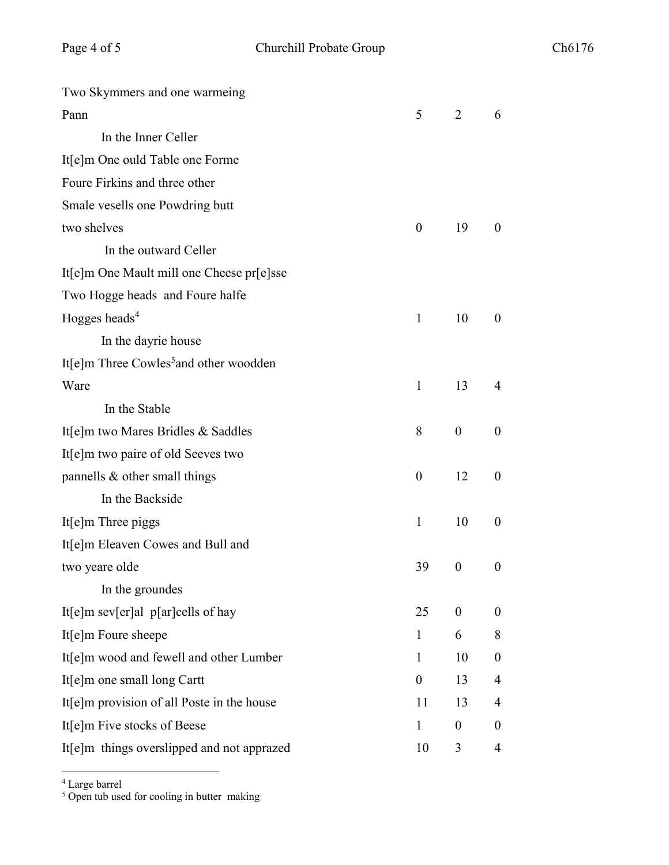| Two Skymmers and one warmeing                      |                  |                  |                  |
|----------------------------------------------------|------------------|------------------|------------------|
| Pann                                               | 5                | 2                | 6                |
| In the Inner Celler                                |                  |                  |                  |
| It[e]m One ould Table one Forme                    |                  |                  |                  |
| Foure Firkins and three other                      |                  |                  |                  |
| Smale vesells one Powdring butt                    |                  |                  |                  |
| two shelves                                        | $\boldsymbol{0}$ | 19               | $\theta$         |
| In the outward Celler                              |                  |                  |                  |
| It[e]m One Mault mill one Cheese pr[e]sse          |                  |                  |                  |
| Two Hogge heads and Foure halfe                    |                  |                  |                  |
| Hogges heads <sup>4</sup>                          | 1                | 10               | $\bf{0}$         |
| In the dayrie house                                |                  |                  |                  |
| It[e]m Three Cowles <sup>5</sup> and other woodden |                  |                  |                  |
| Ware                                               | $\mathbf{1}$     | 13               | 4                |
| In the Stable                                      |                  |                  |                  |
| It[e]m two Mares Bridles & Saddles                 | 8                | $\boldsymbol{0}$ | $\boldsymbol{0}$ |
| It[e]m two paire of old Seeves two                 |                  |                  |                  |
| pannells & other small things                      | $\boldsymbol{0}$ | 12               | $\boldsymbol{0}$ |
| In the Backside                                    |                  |                  |                  |
| It[e]m Three piggs                                 | $\mathbf{1}$     | 10               | $\boldsymbol{0}$ |
| It[e]m Eleaven Cowes and Bull and                  |                  |                  |                  |
| two yeare olde                                     | 39               | $\boldsymbol{0}$ | $\boldsymbol{0}$ |
| In the groundes                                    |                  |                  |                  |
| It[e]m sev[er]al $p$ [ar]cells of hay              | 25               | $\boldsymbol{0}$ | $\boldsymbol{0}$ |
| It[e]m Foure sheepe                                | $\mathbf{1}$     | 6                | $8\,$            |
| It[e]m wood and fewell and other Lumber            | $\mathbf{1}$     | 10               | $\boldsymbol{0}$ |
| It[e]m one small long Cartt                        | $\theta$         | 13               | $\overline{4}$   |
| It[e]m provision of all Poste in the house         | 11               | 13               | 4                |
| It[e]m Five stocks of Beese                        | $\mathbf{1}$     | $\boldsymbol{0}$ | $\boldsymbol{0}$ |
| It[e]m things overslipped and not apprazed         | 10               | 3                | $\overline{4}$   |

<sup>4</sup> Large barrel

<sup>5</sup> Open tub used for cooling in butter making